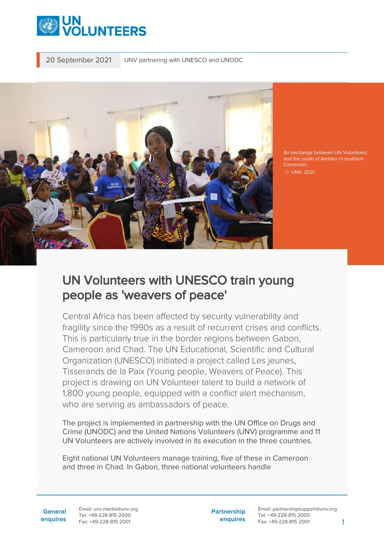

20 September 2021 UNV partnering with UNESCO and UNODC



An exchange between UN Volunteers and the youth of Ambam in southern Cameroon.

© UNV, 2021

## UN Volunteers with UNESCO train young people as 'weavers of peace'

Central Africa has been affected by security vulnerability and fragility since the 1990s as a result of recurrent crises and conflicts. This is particularly true in the border regions between Gabon, Cameroon and Chad. The UN Educational, Scientific and Cultural Organization (UNESCO) initiated a project called Les jeunes, Tisserands de la Paix (Young people, Weavers of Peace). This project is drawing on UN Volunteer talent to build a network of 1,800 young people, equipped with a conflict alert mechanism, who are serving as ambassadors of peace.

The project is implemented in partnership with the UN Office on Drugs and Crime (UNODC) and the United Nations Volunteers (UNV) programme and 11 UN Volunteers are actively involved in its execution in the three countries.

Eight national UN Volunteers manage training, five of these in Cameroon and three in Chad. In Gabon, three national volunteers handle

**General enquires** Email: unv.media@unv.org Tel: +49-228-815 2000 Fax: +49-228-815 2001

**Partnership enquires**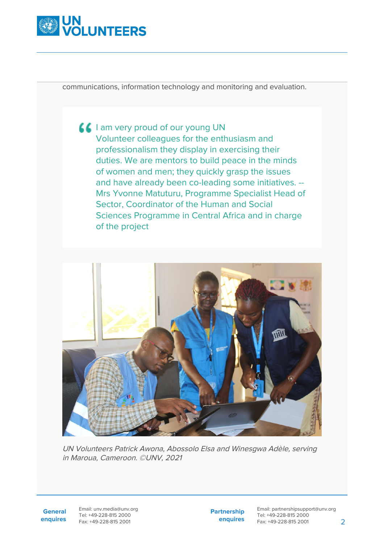

communications, information technology and monitoring and evaluation.

**I** am very proud of our young UN Volunteer colleagues for the enthusiasm and professionalism they display in exercising their duties. We are mentors to build peace in the minds of women and men; they quickly grasp the issues and have already been co-leading some initiatives. -- Mrs Yvonne Matuturu, Programme Specialist Head of Sector, Coordinator of the Human and Social Sciences Programme in Central Africa and in charge of the project



UN Volunteers Patrick Awona, Abossolo Elsa and Winesgwa Adèle, serving in Maroua, Cameroon. ©UNV, 2021

**General enquires** Email: unv.media@unv.org Tel: +49-228-815 2000 Fax: +49-228-815 2001

**Partnership enquires**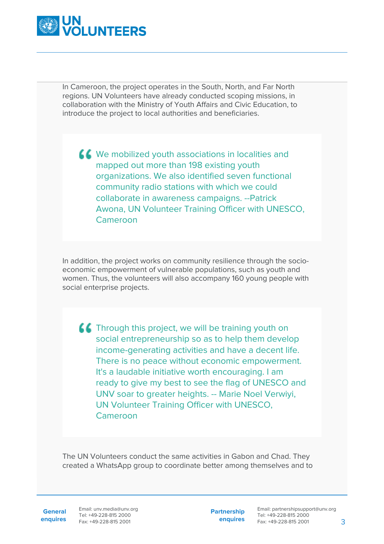

In Cameroon, the project operates in the South, North, and Far North regions. UN Volunteers have already conducted scoping missions, in collaboration with the Ministry of Youth Affairs and Civic Education, to introduce the project to local authorities and beneficiaries.

KK We mobilized youth associations in localities and mapped out more than 198 existing youth organizations. We also identified seven functional community radio stations with which we could collaborate in awareness campaigns. --Patrick Awona, UN Volunteer Training Officer with UNESCO, Cameroon

In addition, the project works on community resilience through the socioeconomic empowerment of vulnerable populations, such as youth and women. Thus, the volunteers will also accompany 160 young people with social enterprise projects.

**CC** Through this project, we will be training youth on social entrepreneurship so as to help them develop income-generating activities and have a decent life. There is no peace without economic empowerment. It's a laudable initiative worth encouraging. I am ready to give my best to see the flag of UNESCO and UNV soar to greater heights. -- Marie Noel Verwiyi, UN Volunteer Training Officer with UNESCO, Cameroon

The UN Volunteers conduct the same activities in Gabon and Chad. They created a WhatsApp group to coordinate better among themselves and to

**General**

**enquires** Fax: +49-228-815 2001 Email: unv.media@unv.org Tel: +49-228-815 2000

**Partnership enquires**